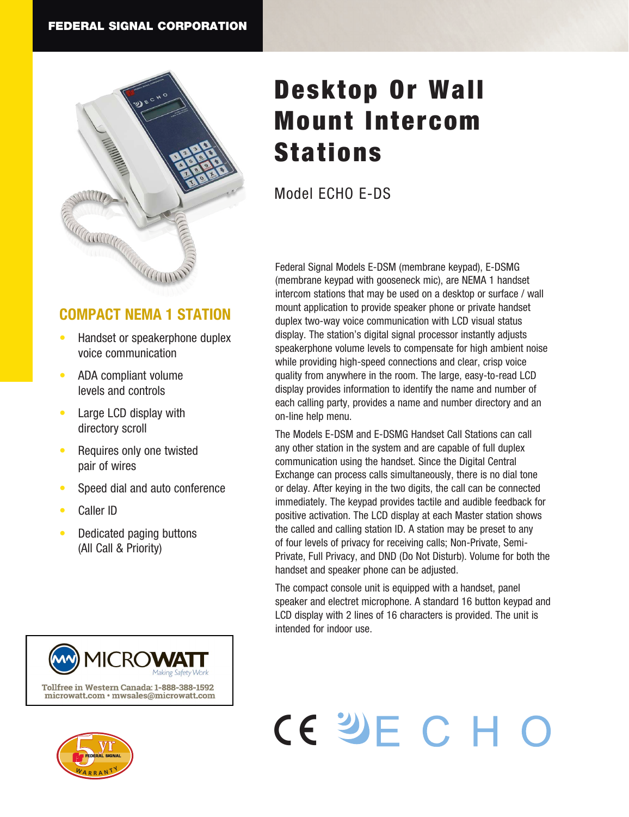

### **COMPACT NEMA 1 STATION**

- Handset or speakerphone duplex voice communication
- ADA compliant volume levels and controls
- Large LCD display with directory scroll
- Requires only one twisted pair of wires
- Speed dial and auto conference
- Caller ID
- Dedicated paging buttons (All Call & Priority)





## Desktop Or Wall Mount Intercom Stations

Model ECHO E-DS

Federal Signal Models E-DSM (membrane keypad), E-DSMG (membrane keypad with gooseneck mic), are NEMA 1 handset intercom stations that may be used on a desktop or surface / wall mount application to provide speaker phone or private handset duplex two-way voice communication with LCD visual status display. The station's digital signal processor instantly adjusts speakerphone volume levels to compensate for high ambient noise while providing high-speed connections and clear, crisp voice quality from anywhere in the room. The large, easy-to-read LCD display provides information to identify the name and number of each calling party, provides a name and number directory and an on-line help menu.

The Models E-DSM and E-DSMG Handset Call Stations can call any other station in the system and are capable of full duplex communication using the handset. Since the Digital Central Exchange can process calls simultaneously, there is no dial tone or delay. After keying in the two digits, the call can be connected immediately. The keypad provides tactile and audible feedback for positive activation. The LCD display at each Master station shows the called and calling station ID. A station may be preset to any of four levels of privacy for receiving calls; Non-Private, Semi-Private, Full Privacy, and DND (Do Not Disturb). Volume for both the handset and speaker phone can be adjusted.

The compact console unit is equipped with a handset, panel speaker and electret microphone. A standard 16 button keypad and LCD display with 2 lines of 16 characters is provided. The unit is intended for indoor use.

# CE SHE CHO